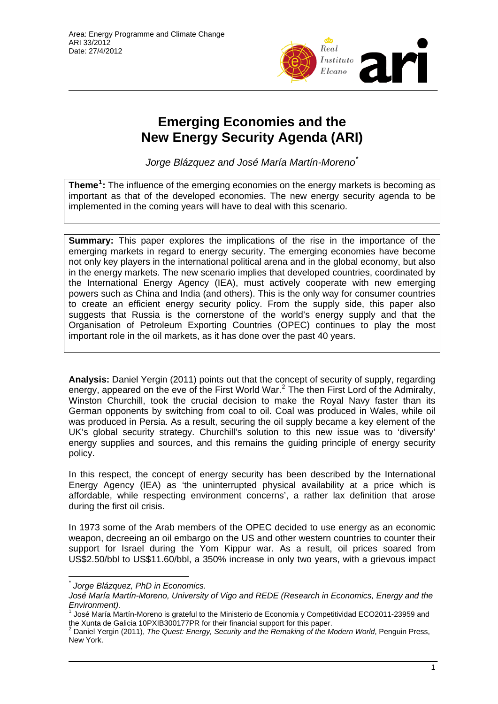

# **Emerging Economies and the New Energy Security Agenda (ARI)**

*Jorge Blázquez and José María Martín-Moreno*[\\*](#page-0-0)

**Theme[1](#page-0-1) :** The influence of the emerging economies on the energy markets is becoming as important as that of the developed economies. The new energy security agenda to be implemented in the coming years will have to deal with this scenario.

**Summary:** This paper explores the implications of the rise in the importance of the emerging markets in regard to energy security. The emerging economies have become not only key players in the international political arena and in the global economy, but also in the energy markets. The new scenario implies that developed countries, coordinated by the International Energy Agency (IEA), must actively cooperate with new emerging powers such as China and India (and others). This is the only way for consumer countries to create an efficient energy security policy. From the supply side, this paper also suggests that Russia is the cornerstone of the world's energy supply and that the Organisation of Petroleum Exporting Countries (OPEC) continues to play the most important role in the oil markets, as it has done over the past 40 years.

**Analysis:** Daniel Yergin (2011) points out that the concept of security of supply, regarding energy, appeared on the eve of the First World War.<sup>[2](#page-0-2)</sup> The then First Lord of the Admiralty, Winston Churchill, took the crucial decision to make the Royal Navy faster than its German opponents by switching from coal to oil. Coal was produced in Wales, while oil was produced in Persia. As a result, securing the oil supply became a key element of the UK's global security strategy. Churchill's solution to this new issue was to 'diversify' energy supplies and sources, and this remains the guiding principle of energy security policy.

In this respect, the concept of energy security has been described by the International Energy Agency (IEA) as 'the uninterrupted physical availability at a price which is affordable, while respecting environment concerns', a rather lax definition that arose during the first oil crisis.

In 1973 some of the Arab members of the OPEC decided to use energy as an economic weapon, decreeing an oil embargo on the US and other western countries to counter their support for Israel during the Yom Kippur war. As a result, oil prices soared from US\$2.50/bbl to US\$11.60/bbl, a 350% increase in only two years, with a grievous impact

*<sup>\*</sup> Jorge Blázquez, PhD in Economics.* 

<span id="page-0-0"></span>*José María Martín-Moreno, University of Vigo and REDE (Research in Economics, Energy and the Environment).* 

<span id="page-0-1"></span><sup>1</sup> José María Martín-Moreno is grateful to the Ministerio de Economía y Competitividad ECO2011-23959 and the Xunta de Galicia 10PXIB300177PR for their financial support for this paper.<br><sup>2</sup> Depial Versin (2011), The Queet: Energy, Sequrity and the *Permeling of the M* 

<span id="page-0-2"></span>Daniel Yergin (2011), *The Quest: Energy, Security and the Remaking of the Modern World*, Penguin Press, New York.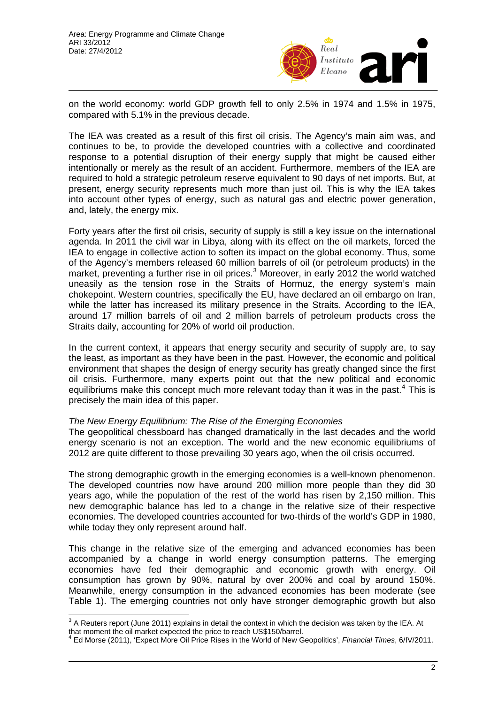

on the world economy: world GDP growth fell to only 2.5% in 1974 and 1.5% in 1975, compared with 5.1% in the previous decade.

The IEA was created as a result of this first oil crisis. The Agency's main aim was, and continues to be, to provide the developed countries with a collective and coordinated response to a potential disruption of their energy supply that might be caused either intentionally or merely as the result of an accident. Furthermore, members of the IEA are required to hold a strategic petroleum reserve equivalent to 90 days of net imports. But, at present, energy security represents much more than just oil. This is why the IEA takes into account other types of energy, such as natural gas and electric power generation, and, lately, the energy mix.

Forty years after the first oil crisis, security of supply is still a key issue on the international agenda. In 2011 the civil war in Libya, along with its effect on the oil markets, forced the IEA to engage in collective action to soften its impact on the global economy. Thus, some of the Agency's members released 60 million barrels of oil (or petroleum products) in the market, preventing a further rise in oil prices.<sup>[3](#page-1-0)</sup> Moreover, in early 2012 the world watched uneasily as the tension rose in the Straits of Hormuz, the energy system's main chokepoint. Western countries, specifically the EU, have declared an oil embargo on Iran, while the latter has increased its military presence in the Straits. According to the IEA, around 17 million barrels of oil and 2 million barrels of petroleum products cross the Straits daily, accounting for 20% of world oil production.

In the current context, it appears that energy security and security of supply are, to say the least, as important as they have been in the past. However, the economic and political environment that shapes the design of energy security has greatly changed since the first oil crisis. Furthermore, many experts point out that the new political and economic equilibriums make this concept much more relevant today than it was in the past.<sup>[4](#page-1-1)</sup> This is precisely the main idea of this paper.

### *The New Energy Equilibrium: The Rise of the Emerging Economies*

The geopolitical chessboard has changed dramatically in the last decades and the world energy scenario is not an exception. The world and the new economic equilibriums of 2012 are quite different to those prevailing 30 years ago, when the oil crisis occurred.

The strong demographic growth in the emerging economies is a well-known phenomenon. The developed countries now have around 200 million more people than they did 30 years ago, while the population of the rest of the world has risen by 2,150 million. This new demographic balance has led to a change in the relative size of their respective economies. The developed countries accounted for two-thirds of the world's GDP in 1980, while today they only represent around half.

This change in the relative size of the emerging and advanced economies has been accompanied by a change in world energy consumption patterns. The emerging economies have fed their demographic and economic growth with energy. Oil consumption has grown by 90%, natural by over 200% and coal by around 150%. Meanwhile, energy consumption in the advanced economies has been moderate (see Table 1). The emerging countries not only have stronger demographic growth but also

<span id="page-1-0"></span><sup>&</sup>lt;sup>3</sup> A Reuters report (June 2011) explains in detail the context in which the decision was taken by the IEA. At <sup>3</sup> that moment the oil market expected the price to reach US\$150/barrel. 4

<span id="page-1-1"></span>Ed Morse (2011), 'Expect More Oil Price Rises in the World of New Geopolitics', *Financial Times*, 6/IV/2011.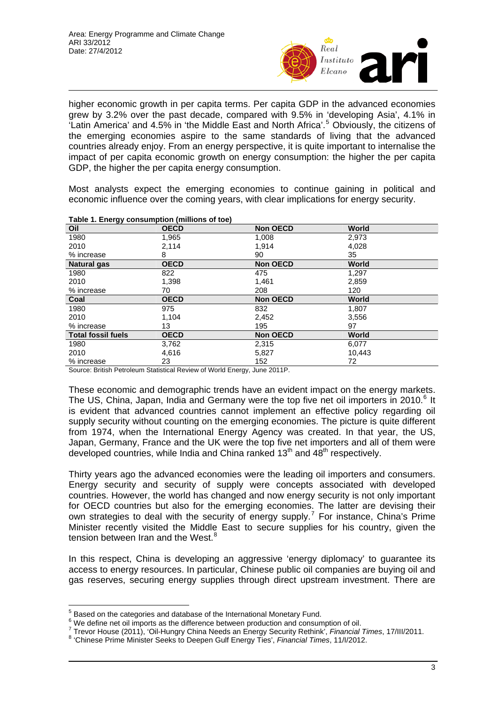

higher economic growth in per capita terms. Per capita GDP in the advanced economies grew by 3.2% over the past decade, compared with 9.5% in 'developing Asia', 4.1% in Latin America' and 4.[5](#page-2-0)% in 'the Middle East and North Africa'.<sup>5</sup> Obviously, the citizens of the emerging economies aspire to the same standards of living that the advanced countries already enjoy. From an energy perspective, it is quite important to internalise the impact of per capita economic growth on energy consumption: the higher the per capita GDP, the higher the per capita energy consumption.

Most analysts expect the emerging economies to continue gaining in political and economic influence over the coming years, with clear implications for energy security.

| Table 1. Ellergy consumption (immons or toe) |             |                 |        |  |
|----------------------------------------------|-------------|-----------------|--------|--|
| Oil                                          | <b>OECD</b> | <b>Non OECD</b> | World  |  |
| 1980                                         | 1,965       | 1,008           | 2,973  |  |
| 2010                                         | 2,114       | 1.914           | 4,028  |  |
| % increase                                   | 8           | 90              | 35     |  |
| <b>Natural gas</b>                           | <b>OECD</b> | <b>Non OECD</b> | World  |  |
| 1980                                         | 822         | 475             | 1.297  |  |
| 2010                                         | 1,398       | 1,461           | 2,859  |  |
| % increase                                   | 70          | 208             | 120    |  |
| Coal                                         | <b>OECD</b> | <b>Non OECD</b> | World  |  |
| 1980                                         | 975         | 832             | 1,807  |  |
| 2010                                         | 1,104       | 2,452           | 3,556  |  |
| % increase                                   | 13          | 195             | 97     |  |
| <b>Total fossil fuels</b>                    | <b>OECD</b> | <b>Non OECD</b> | World  |  |
| 1980                                         | 3,762       | 2,315           | 6,077  |  |
| 2010                                         | 4,616       | 5,827           | 10.443 |  |
| % increase                                   | 23          | 152             | 72     |  |

#### **Table 1. Energy consumption (millions of toe)**

Source: British Petroleum Statistical Review of World Energy, June 2011P.

These economic and demographic trends have an evident impact on the energy markets. The US, China, Japan, India and Germany were the top five net oil importers in 2010.<sup>[6](#page-2-1)</sup> It is evident that advanced countries cannot implement an effective policy regarding oil supply security without counting on the emerging economies. The picture is quite different from 1974, when the International Energy Agency was created. In that year, the US, Japan, Germany, France and the UK were the top five net importers and all of them were developed countries, while India and China ranked  $13<sup>th</sup>$  and  $48<sup>th</sup>$  respectively.

Thirty years ago the advanced economies were the leading oil importers and consumers. Energy security and security of supply were concepts associated with developed countries. However, the world has changed and now energy security is not only important for OECD countries but also for the emerging economies. The latter are devising their own strategies to deal with the security of energy supply.<sup>[7](#page-2-2)</sup> For instance, China's Prime Minister recently visited the Middle East to secure supplies for his country, given the tension between Iran and the West.<sup>[8](#page-2-3)</sup>

In this respect, China is developing an aggressive 'energy diplomacy' to guarantee its access to energy resources. In particular, Chinese public oil companies are buying oil and gas reserves, securing energy supplies through direct upstream investment. There are

**EXECUTE:**<br><sup>5</sup> Based on the categories and database of the International Monetary Fund.

<span id="page-2-0"></span><sup>&</sup>lt;sup>6</sup> We define net oil imports as the difference between production and consumption of oil.<br><sup>7</sup> Traves Hause (2011), 'Oil Hugger, China Naada an Energy Seaurity Pethink', *Financial* 

<span id="page-2-2"></span><span id="page-2-1"></span>Trevor House (2011), 'Oil-Hungry China Needs an Energy Security Rethink', *Financial Times*, 17/III/2011. 8

<span id="page-2-3"></span> <sup>&#</sup>x27;Chinese Prime Minister Seeks to Deepen Gulf Energy Ties', *Financial Times*, 11/I/2012.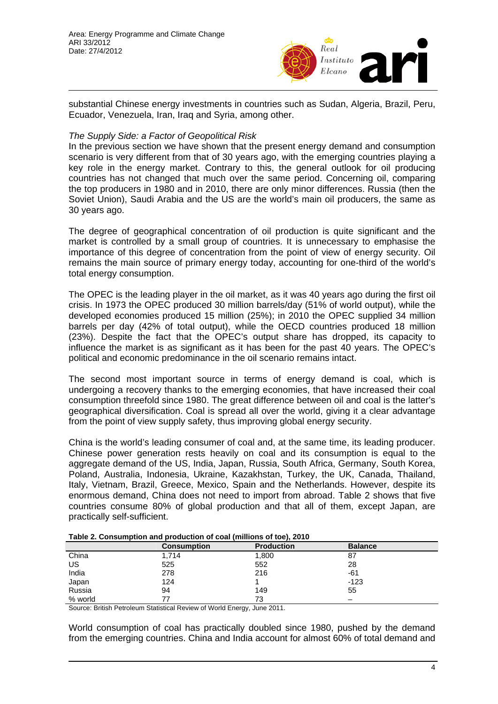

substantial Chinese energy investments in countries such as Sudan, Algeria, Brazil, Peru, Ecuador, Venezuela, Iran, Iraq and Syria, among other.

## *The Supply Side: a Factor of Geopolitical Risk*

In the previous section we have shown that the present energy demand and consumption scenario is very different from that of 30 years ago, with the emerging countries playing a key role in the energy market. Contrary to this, the general outlook for oil producing countries has not changed that much over the same period. Concerning oil, comparing the top producers in 1980 and in 2010, there are only minor differences. Russia (then the Soviet Union), Saudi Arabia and the US are the world's main oil producers, the same as 30 years ago.

The degree of geographical concentration of oil production is quite significant and the market is controlled by a small group of countries. It is unnecessary to emphasise the importance of this degree of concentration from the point of view of energy security. Oil remains the main source of primary energy today, accounting for one-third of the world's total energy consumption.

The OPEC is the leading player in the oil market, as it was 40 years ago during the first oil crisis. In 1973 the OPEC produced 30 million barrels/day (51% of world output), while the developed economies produced 15 million (25%); in 2010 the OPEC supplied 34 million barrels per day (42% of total output), while the OECD countries produced 18 million (23%). Despite the fact that the OPEC's output share has dropped, its capacity to influence the market is as significant as it has been for the past 40 years. The OPEC's political and economic predominance in the oil scenario remains intact.

The second most important source in terms of energy demand is coal, which is undergoing a recovery thanks to the emerging economies, that have increased their coal consumption threefold since 1980. The great difference between oil and coal is the latter's geographical diversification. Coal is spread all over the world, giving it a clear advantage from the point of view supply safety, thus improving global energy security.

China is the world's leading consumer of coal and, at the same time, its leading producer. Chinese power generation rests heavily on coal and its consumption is equal to the aggregate demand of the US, India, Japan, Russia, South Africa, Germany, South Korea, Poland, Australia, Indonesia, Ukraine, Kazakhstan, Turkey, the UK, Canada, Thailand, Italy, Vietnam, Brazil, Greece, Mexico, Spain and the Netherlands. However, despite its enormous demand, China does not need to import from abroad. Table 2 shows that five countries consume 80% of global production and that all of them, except Japan, are practically self-sufficient.

| $1.4810$ and $1.6011$ and $1.4010$ and $1.6010$ and $1.6011$ and $1.6010$ and $1.6010$ and $1.6010$ |                    |                   |                |  |
|-----------------------------------------------------------------------------------------------------|--------------------|-------------------|----------------|--|
|                                                                                                     | <b>Consumption</b> | <b>Production</b> | <b>Balance</b> |  |
| China                                                                                               | 1,714              | 1,800             | 87             |  |
| US                                                                                                  | 525                | 552               | 28             |  |
| India                                                                                               | 278                | 216               | -61            |  |
| Japan                                                                                               | 124                |                   | $-123$         |  |
| Russia                                                                                              | 94                 | 149               | 55             |  |
| % world                                                                                             |                    | 73                |                |  |

**Table 2. Consumption and production of coal (millions of toe), 2010** 

Source: British Petroleum Statistical Review of World Energy, June 2011.

World consumption of coal has practically doubled since 1980, pushed by the demand from the emerging countries. China and India account for almost 60% of total demand and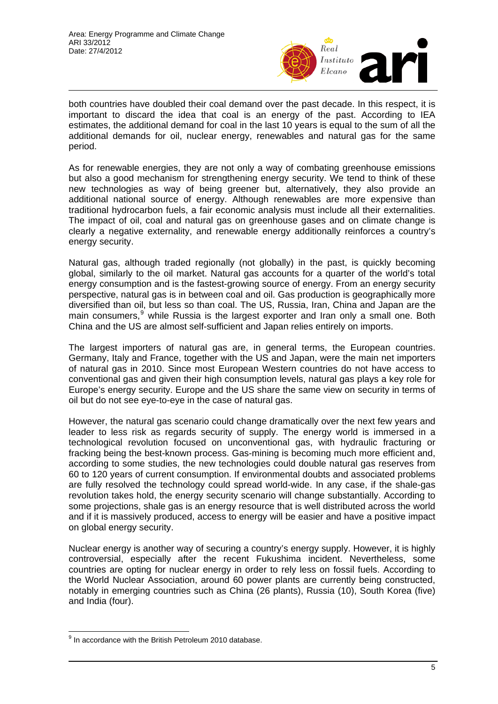

both countries have doubled their coal demand over the past decade. In this respect, it is important to discard the idea that coal is an energy of the past. According to IEA estimates, the additional demand for coal in the last 10 years is equal to the sum of all the additional demands for oil, nuclear energy, renewables and natural gas for the same period.

As for renewable energies, they are not only a way of combating greenhouse emissions but also a good mechanism for strengthening energy security. We tend to think of these new technologies as way of being greener but, alternatively, they also provide an additional national source of energy. Although renewables are more expensive than traditional hydrocarbon fuels, a fair economic analysis must include all their externalities. The impact of oil, coal and natural gas on greenhouse gases and on climate change is clearly a negative externality, and renewable energy additionally reinforces a country's energy security.

Natural gas, although traded regionally (not globally) in the past, is quickly becoming global, similarly to the oil market. Natural gas accounts for a quarter of the world's total energy consumption and is the fastest-growing source of energy. From an energy security perspective, natural gas is in between coal and oil. Gas production is geographically more diversified than oil, but less so than coal. The US, Russia, Iran, China and Japan are the main consumers,<sup>[9](#page-4-0)</sup> while Russia is the largest exporter and Iran only a small one. Both China and the US are almost self-sufficient and Japan relies entirely on imports.

The largest importers of natural gas are, in general terms, the European countries. Germany, Italy and France, together with the US and Japan, were the main net importers of natural gas in 2010. Since most European Western countries do not have access to conventional gas and given their high consumption levels, natural gas plays a key role for Europe's energy security. Europe and the US share the same view on security in terms of oil but do not see eye-to-eye in the case of natural gas.

However, the natural gas scenario could change dramatically over the next few years and leader to less risk as regards security of supply. The energy world is immersed in a technological revolution focused on unconventional gas, with hydraulic fracturing or fracking being the best-known process. Gas-mining is becoming much more efficient and, according to some studies, the new technologies could double natural gas reserves from 60 to 120 years of current consumption. If environmental doubts and associated problems are fully resolved the technology could spread world-wide. In any case, if the shale-gas revolution takes hold, the energy security scenario will change substantially. According to some projections, shale gas is an energy resource that is well distributed across the world and if it is massively produced, access to energy will be easier and have a positive impact on global energy security.

Nuclear energy is another way of securing a country's energy supply. However, it is highly controversial, especially after the recent Fukushima incident. Nevertheless, some countries are opting for nuclear energy in order to rely less on fossil fuels. According to the World Nuclear Association, around 60 power plants are currently being constructed, notably in emerging countries such as China (26 plants), Russia (10), South Korea (five) and India (four).

<span id="page-4-0"></span> $9$  In accordance with the British Petroleum 2010 database.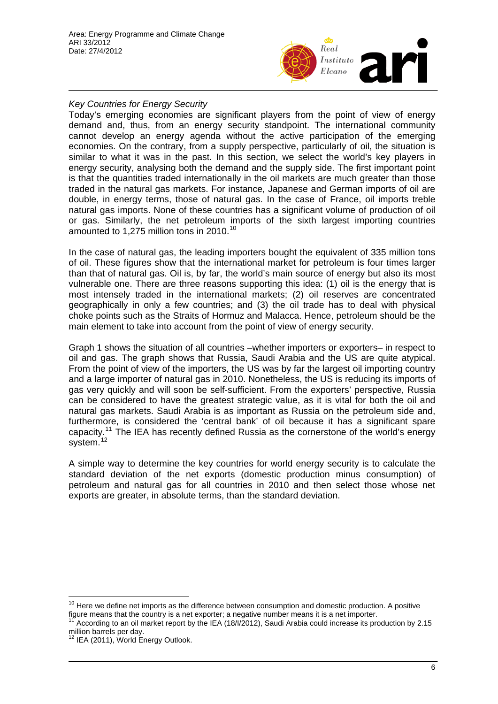

## *Key Countries for Energy Security*

Today's emerging economies are significant players from the point of view of energy demand and, thus, from an energy security standpoint. The international community cannot develop an energy agenda without the active participation of the emerging economies. On the contrary, from a supply perspective, particularly of oil, the situation is similar to what it was in the past. In this section, we select the world's key players in energy security, analysing both the demand and the supply side. The first important point is that the quantities traded internationally in the oil markets are much greater than those traded in the natural gas markets. For instance, Japanese and German imports of oil are double, in energy terms, those of natural gas. In the case of France, oil imports treble natural gas imports. None of these countries has a significant volume of production of oil or gas. Similarly, the net petroleum imports of the sixth largest importing countries amounted to 1,275 million tons in 20[10](#page-5-0).<sup>10</sup>

In the case of natural gas, the leading importers bought the equivalent of 335 million tons of oil. These figures show that the international market for petroleum is four times larger than that of natural gas. Oil is, by far, the world's main source of energy but also its most vulnerable one. There are three reasons supporting this idea: (1) oil is the energy that is most intensely traded in the international markets; (2) oil reserves are concentrated geographically in only a few countries; and (3) the oil trade has to deal with physical choke points such as the Straits of Hormuz and Malacca. Hence, petroleum should be the main element to take into account from the point of view of energy security.

Graph 1 shows the situation of all countries –whether importers or exporters– in respect to oil and gas. The graph shows that Russia, Saudi Arabia and the US are quite atypical. From the point of view of the importers, the US was by far the largest oil importing country and a large importer of natural gas in 2010. Nonetheless, the US is reducing its imports of gas very quickly and will soon be self-sufficient. From the exporters' perspective, Russia can be considered to have the greatest strategic value, as it is vital for both the oil and natural gas markets. Saudi Arabia is as important as Russia on the petroleum side and, furthermore, is considered the 'central bank' of oil because it has a significant spare capacity.<sup>[11](#page-5-1)</sup> The IEA has recently defined Russia as the cornerstone of the world's energy system.<sup>[12](#page-5-2)</sup>

A simple way to determine the key countries for world energy security is to calculate the standard deviation of the net exports (domestic production minus consumption) of petroleum and natural gas for all countries in 2010 and then select those whose net exports are greater, in absolute terms, than the standard deviation.

<span id="page-5-0"></span> $10$  Here we define net imports as the difference between consumption and domestic production. A positive figure means that the country is a net exporter; a negative number means it is a net importer.

<span id="page-5-1"></span><sup>11</sup> According to an oil market report by the IEA (18/I/2012), Saudi Arabia could increase its production by 2.15 million barrels per day.

<span id="page-5-2"></span><sup>&</sup>lt;sup>12</sup> IEA (2011), World Energy Outlook.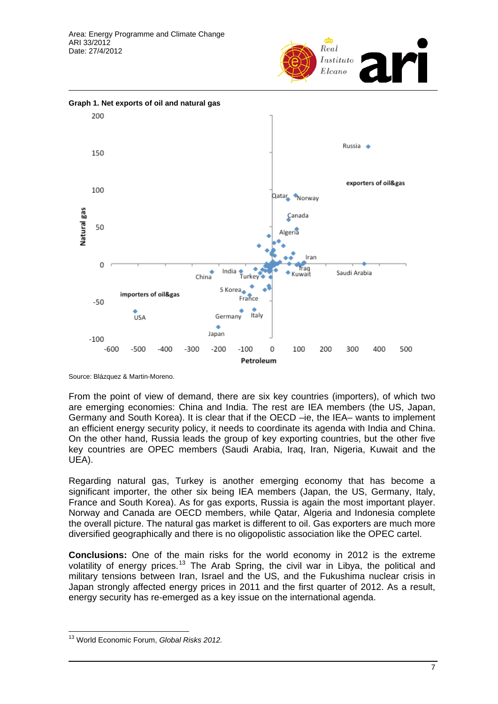



Source: Blázquez & Martin-Moreno.

From the point of view of demand, there are six key countries (importers), of which two are emerging economies: China and India. The rest are IEA members (the US, Japan, Germany and South Korea). It is clear that if the OECD –ie, the IEA– wants to implement an efficient energy security policy, it needs to coordinate its agenda with India and China. On the other hand, Russia leads the group of key exporting countries, but the other five key countries are OPEC members (Saudi Arabia, Iraq, Iran, Nigeria, Kuwait and the UEA).

Regarding natural gas, Turkey is another emerging economy that has become a significant importer, the other six being IEA members (Japan, the US, Germany, Italy, France and South Korea). As for gas exports, Russia is again the most important player. Norway and Canada are OECD members, while Qatar, Algeria and Indonesia complete the overall picture. The natural gas market is different to oil. Gas exporters are much more diversified geographically and there is no oligopolistic association like the OPEC cartel.

**Conclusions:** One of the main risks for the world economy in 2012 is the extreme volatility of energy prices.<sup>[13](#page-6-0)</sup> The Arab Spring, the civil war in Libya, the political and military tensions between Iran, Israel and the US, and the Fukushima nuclear crisis in Japan strongly affected energy prices in 2011 and the first quarter of 2012. As a result, energy security has re-emerged as a key issue on the international agenda.

<span id="page-6-0"></span><sup>13</sup> World Economic Forum, *Global Risks 2012.*